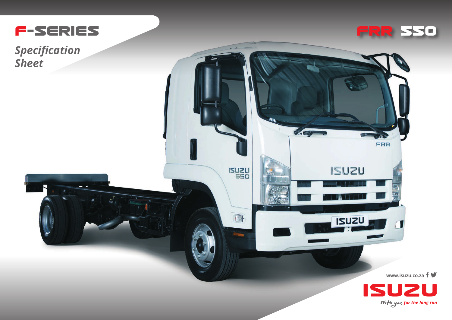

**Specification Sheet** 



FRR

**ISUZU** 

**ISUZU** 

 $-$ 

**ISUZU** 

 $\blacksquare$ 

1.7

www.isuzu.co.za  $f \blacktriangleright$ 



 $\sqrt{2}$